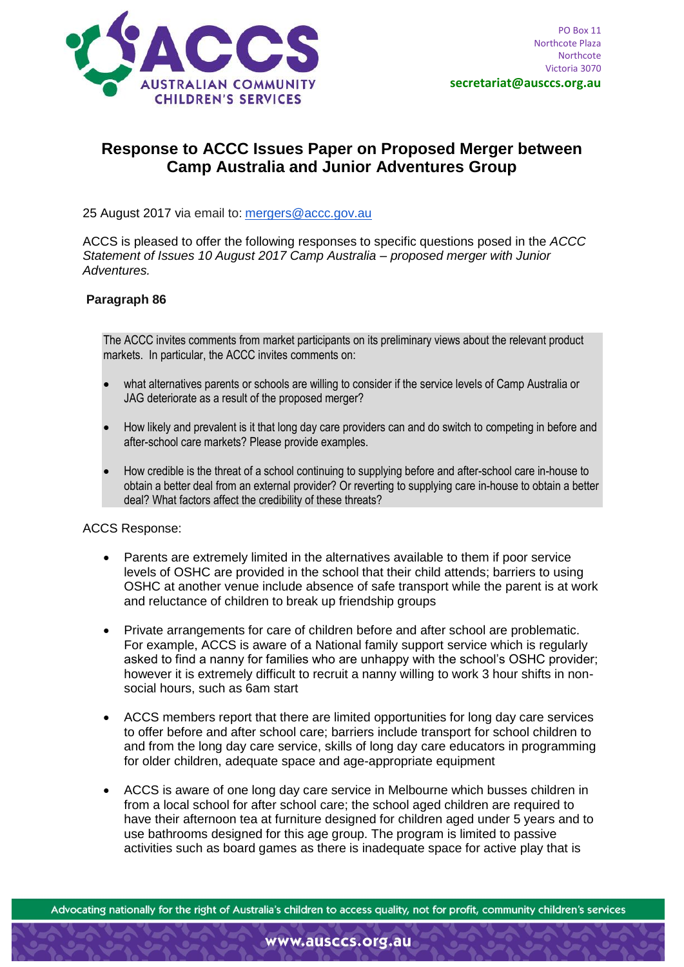

# **Response to ACCC Issues Paper on Proposed Merger between Camp Australia and Junior Adventures Group**

25 August 2017 via email to: [mergers@accc.gov.au](mailto:mergers@accc.gov.au)

ACCS is pleased to offer the following responses to specific questions posed in the *ACCC Statement of Issues 10 August 2017 Camp Australia – proposed merger with Junior Adventures.*

#### **Paragraph 86**

The ACCC invites comments from market participants on its preliminary views about the relevant product markets. In particular, the ACCC invites comments on:

- what alternatives parents or schools are willing to consider if the service levels of Camp Australia or JAG deteriorate as a result of the proposed merger?
- How likely and prevalent is it that long day care providers can and do switch to competing in before and after-school care markets? Please provide examples.
- How credible is the threat of a school continuing to supplying before and after-school care in-house to obtain a better deal from an external provider? Or reverting to supplying care in-house to obtain a better deal? What factors affect the credibility of these threats?

ACCS Response:

- Parents are extremely limited in the alternatives available to them if poor service levels of OSHC are provided in the school that their child attends; barriers to using OSHC at another venue include absence of safe transport while the parent is at work and reluctance of children to break up friendship groups
- Private arrangements for care of children before and after school are problematic. For example, ACCS is aware of a National family support service which is regularly asked to find a nanny for families who are unhappy with the school's OSHC provider; however it is extremely difficult to recruit a nanny willing to work 3 hour shifts in nonsocial hours, such as 6am start
- ACCS members report that there are limited opportunities for long day care services to offer before and after school care; barriers include transport for school children to and from the long day care service, skills of long day care educators in programming for older children, adequate space and age-appropriate equipment
- ACCS is aware of one long day care service in Melbourne which busses children in from a local school for after school care; the school aged children are required to have their afternoon tea at furniture designed for children aged under 5 years and to use bathrooms designed for this age group. The program is limited to passive activities such as board games as there is inadequate space for active play that is

Advocating nationally for the right of Australia's children to access quality, not for profit, community children's services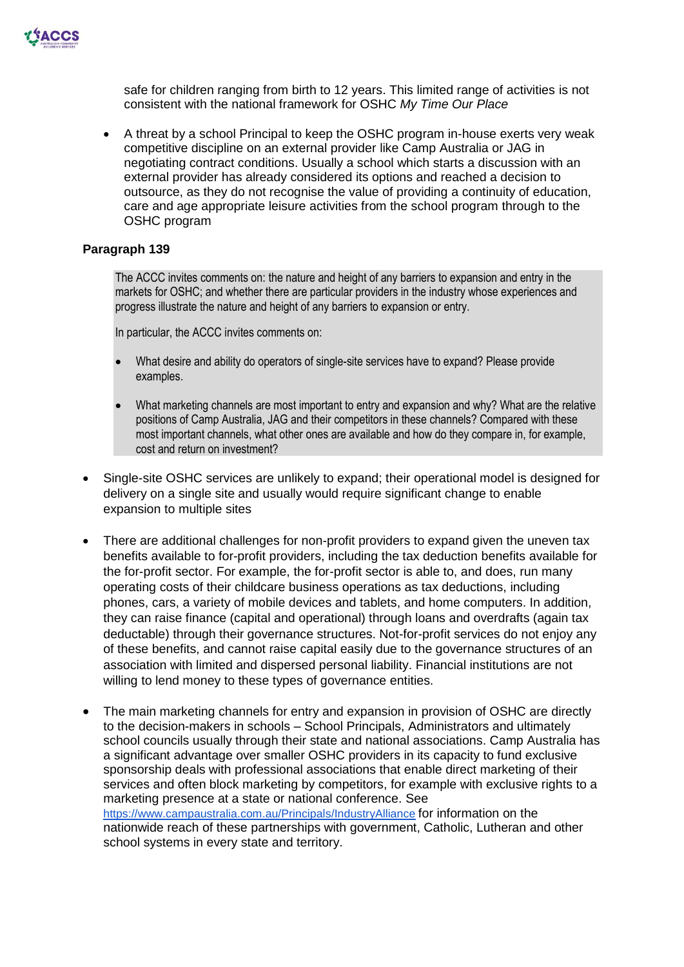

safe for children ranging from birth to 12 years. This limited range of activities is not consistent with the national framework for OSHC *My Time Our Place*

• A threat by a school Principal to keep the OSHC program in-house exerts very weak competitive discipline on an external provider like Camp Australia or JAG in negotiating contract conditions. Usually a school which starts a discussion with an external provider has already considered its options and reached a decision to outsource, as they do not recognise the value of providing a continuity of education, care and age appropriate leisure activities from the school program through to the OSHC program

### **Paragraph 139**

The ACCC invites comments on: the nature and height of any barriers to expansion and entry in the markets for OSHC; and whether there are particular providers in the industry whose experiences and progress illustrate the nature and height of any barriers to expansion or entry.

In particular, the ACCC invites comments on:

- What desire and ability do operators of single-site services have to expand? Please provide examples.
- What marketing channels are most important to entry and expansion and why? What are the relative positions of Camp Australia, JAG and their competitors in these channels? Compared with these most important channels, what other ones are available and how do they compare in, for example, cost and return on investment?
- Single-site OSHC services are unlikely to expand; their operational model is designed for delivery on a single site and usually would require significant change to enable expansion to multiple sites
- There are additional challenges for non-profit providers to expand given the uneven tax benefits available to for-profit providers, including the tax deduction benefits available for the for-profit sector. For example, the for-profit sector is able to, and does, run many operating costs of their childcare business operations as tax deductions, including phones, cars, a variety of mobile devices and tablets, and home computers. In addition, they can raise finance (capital and operational) through loans and overdrafts (again tax deductable) through their governance structures. Not-for-profit services do not enjoy any of these benefits, and cannot raise capital easily due to the governance structures of an association with limited and dispersed personal liability. Financial institutions are not willing to lend money to these types of governance entities.
- The main marketing channels for entry and expansion in provision of OSHC are directly to the decision-makers in schools – School Principals, Administrators and ultimately school councils usually through their state and national associations. Camp Australia has a significant advantage over smaller OSHC providers in its capacity to fund exclusive sponsorship deals with professional associations that enable direct marketing of their services and often block marketing by competitors, for example with exclusive rights to a marketing presence at a state or national conference. See <https://www.campaustralia.com.au/Principals/IndustryAlliance> for information on the nationwide reach of these partnerships with government, Catholic, Lutheran and other school systems in every state and territory.